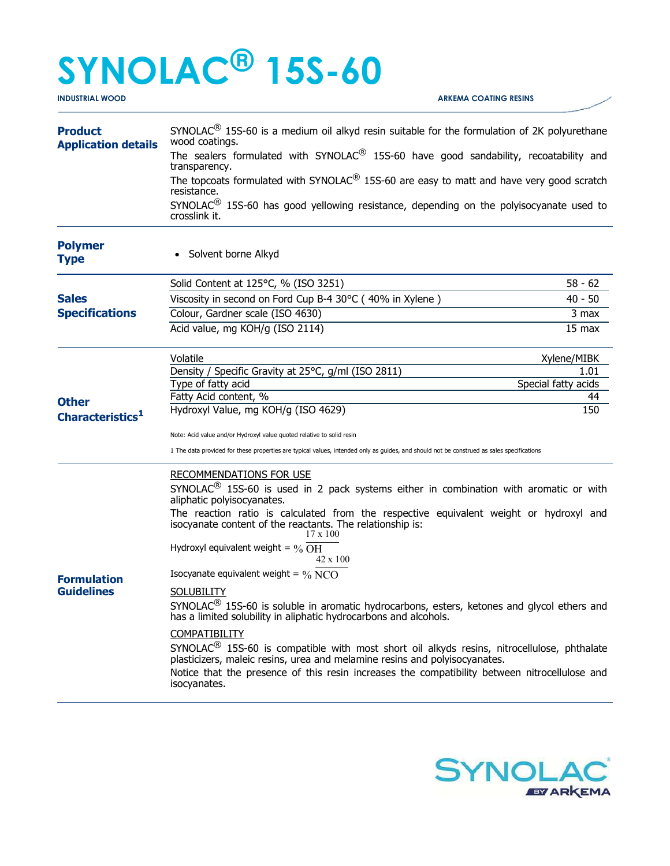## SYNOLAC® 15S-60

INDUSTRIAL WOOD ARKEMA COATING RESINS

| <b>Product</b><br><b>Application details</b> | SYNOLAC <sup>®</sup> 15S-60 is a medium oil alkyd resin suitable for the formulation of 2K polyurethane<br>wood coatings.                                                            |                           |  |
|----------------------------------------------|--------------------------------------------------------------------------------------------------------------------------------------------------------------------------------------|---------------------------|--|
|                                              | The sealers formulated with SYNOLAC $^{\circledR}$ 15S-60 have good sandability, recoatability and<br>transparency.                                                                  |                           |  |
|                                              | The topcoats formulated with SYNOLAC $^{\circledR}$ 15S-60 are easy to matt and have very good scratch<br>resistance.                                                                |                           |  |
|                                              | SYNOLAC <sup>®</sup> 15S-60 has good yellowing resistance, depending on the polyisocyanate used to<br>crosslink it.                                                                  |                           |  |
| <b>Polymer</b><br><b>Type</b>                | Solvent borne Alkyd                                                                                                                                                                  |                           |  |
| <b>Sales</b><br><b>Specifications</b>        | Solid Content at 125°C, % (ISO 3251)                                                                                                                                                 | $58 - 62$                 |  |
|                                              | Viscosity in second on Ford Cup B-4 30°C (40% in Xylene)                                                                                                                             | $40 - 50$                 |  |
|                                              | Colour, Gardner scale (ISO 4630)                                                                                                                                                     | 3 max                     |  |
|                                              | Acid value, mg KOH/g (ISO 2114)                                                                                                                                                      | 15 max                    |  |
| <b>Other</b><br>Characteristics <sup>1</sup> | Volatile                                                                                                                                                                             | Xylene/MIBK               |  |
|                                              | Density / Specific Gravity at 25°C, g/ml (ISO 2811)                                                                                                                                  | 1.01                      |  |
|                                              | Type of fatty acid<br>Fatty Acid content, %                                                                                                                                          | Special fatty acids<br>44 |  |
|                                              | Hydroxyl Value, mg KOH/g (ISO 4629)                                                                                                                                                  | 150                       |  |
|                                              | Note: Acid value and/or Hydroxyl value quoted relative to solid resin                                                                                                                |                           |  |
|                                              | 1 The data provided for these properties are typical values, intended only as guides, and should not be construed as sales specifications                                            |                           |  |
| <b>Formulation</b><br><b>Guidelines</b>      | <b>RECOMMENDATIONS FOR USE</b>                                                                                                                                                       |                           |  |
|                                              | SYNOLAC <sup>®</sup> 15S-60 is used in 2 pack systems either in combination with aromatic or with<br>aliphatic polyisocyanates.                                                      |                           |  |
|                                              | The reaction ratio is calculated from the respective equivalent weight or hydroxyl and<br>isocyanate content of the reactants. The relationship is:<br>$17 \times 100$               |                           |  |
|                                              | Hydroxyl equivalent weight = $\%$ OH<br>42 x 100                                                                                                                                     |                           |  |
|                                              | Isocyanate equivalent weight = $\% \overline{\text{NCO}}$                                                                                                                            |                           |  |
|                                              | <b>SOLUBILITY</b>                                                                                                                                                                    |                           |  |
|                                              | $SYNOLAC^{\circledR}$ 15S-60 is soluble in aromatic hydrocarbons, esters, ketones and glycol ethers and<br>has a limited solubility in aliphatic hydrocarbons and alcohols.          |                           |  |
|                                              | COMPATIBILITY                                                                                                                                                                        |                           |  |
|                                              | SYNOLAC <sup>®</sup> 15S-60 is compatible with most short oil alkyds resins, nitrocellulose, phthalate<br>plasticizers, maleic resins, urea and melamine resins and polyisocyanates. |                           |  |
|                                              | Notice that the presence of this resin increases the compatibility between nitrocellulose and<br>isocyanates.                                                                        |                           |  |